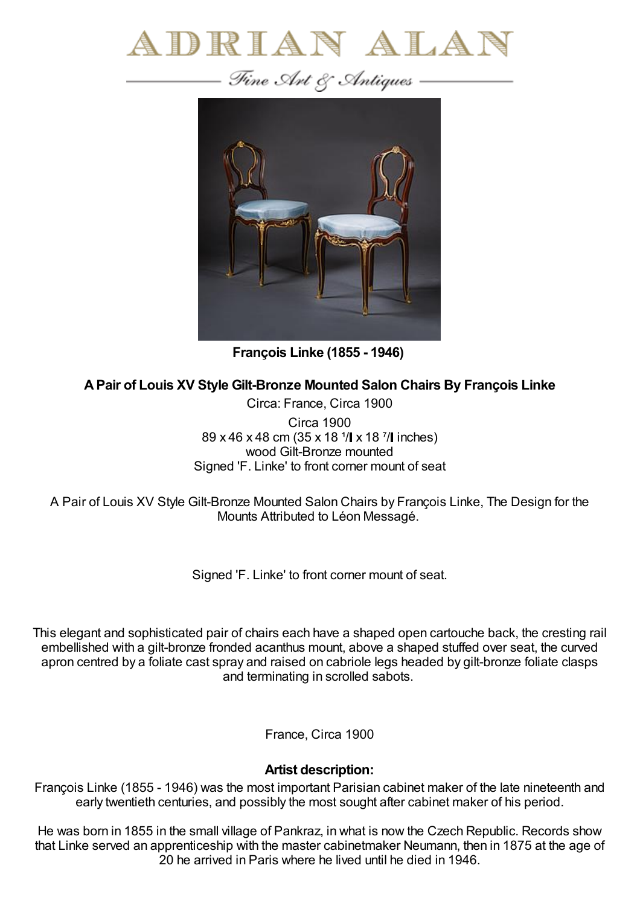



**François Linke (1855 - 1946)**

**APair of Louis XV Style Gilt-Bronze Mounted Salon Chairs By François Linke**

Circa: France, Circa 1900 Circa 1900 89 x 46 x 48 cm (35 x 18 <sup>1</sup>/ x 18 <sup>7</sup>/ linches) wood Gilt-Bronze mounted Signed 'F. Linke' to front corner mount of seat

A Pair of Louis XV Style Gilt-Bronze Mounted Salon Chairs by François Linke, The Design for the Mounts Attributed to Léon Messagé.

Signed 'F. Linke' to front corner mount of seat.

This elegant and sophisticated pair of chairs each have a shaped open cartouche back, the cresting rail embellished with a gilt-bronze fronded acanthus mount, above a shaped stuffed over seat, the curved apron centred by a foliate cast spray and raised on cabriole legs headed by gilt-bronze foliate clasps and terminating in scrolled sabots.

France, Circa 1900

## **Artist description:**

François Linke (1855 - 1946) was the most important Parisian cabinet maker of the late nineteenth and early twentieth centuries, and possibly the most sought after cabinet maker of his period.

He was born in 1855 in the small village of Pankraz, in what is now the Czech Republic. Records show that Linke served an apprenticeship with the master cabinetmaker Neumann, then in 1875 at the age of 20 he arrived in Paris where he lived until he died in 1946.